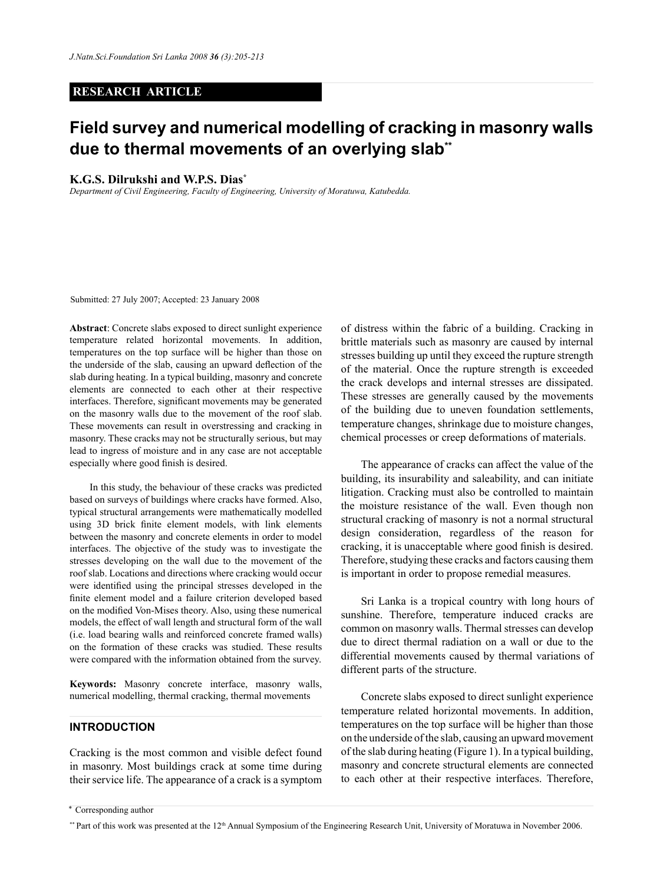# **RESEARCH ARTICLE**

# **Field survey and numerical modelling of cracking in masonry walls due to thermal movements of an overlying slab\*\***

## **K.G.S. Dilrukshi and W.P.S. Dias\***

*Department of Civil Engineering, Faculty of Engineering, University of Moratuwa, Katubedda.*

Submitted: 27 July 2007; Accepted: 23 January 2008

**Abstract**: Concrete slabs exposed to direct sunlight experience temperature related horizontal movements. In addition, temperatures on the top surface will be higher than those on the underside of the slab, causing an upward deflection of the slab during heating. In a typical building, masonry and concrete elements are connected to each other at their respective interfaces. Therefore, significant movements may be generated on the masonry walls due to the movement of the roof slab. These movements can result in overstressing and cracking in masonry. These cracks may not be structurally serious, but may lead to ingress of moisture and in any case are not acceptable especially where good finish is desired.

In this study, the behaviour of these cracks was predicted based on surveys of buildings where cracks have formed. Also, typical structural arrangements were mathematically modelled using 3D brick finite element models, with link elements between the masonry and concrete elements in order to model interfaces. The objective of the study was to investigate the stresses developing on the wall due to the movement of the roof slab. Locations and directions where cracking would occur were identified using the principal stresses developed in the finite element model and a failure criterion developed based on the modified Von-Mises theory. Also, using these numerical models, the effect of wall length and structural form of the wall (i.e. load bearing walls and reinforced concrete framed walls) on the formation of these cracks was studied. These results were compared with the information obtained from the survey.

**Keywords:** Masonry concrete interface, masonry walls, numerical modelling, thermal cracking, thermal movements

# **Introduction**

Cracking is the most common and visible defect found in masonry. Most buildings crack at some time during their service life. The appearance of a crack is a symptom of distress within the fabric of a building. Cracking in brittle materials such as masonry are caused by internal stresses building up until they exceed the rupture strength of the material. Once the rupture strength is exceeded the crack develops and internal stresses are dissipated. These stresses are generally caused by the movements of the building due to uneven foundation settlements, temperature changes, shrinkage due to moisture changes, chemical processes or creep deformations of materials.

The appearance of cracks can affect the value of the building, its insurability and saleability, and can initiate litigation. Cracking must also be controlled to maintain the moisture resistance of the wall. Even though non structural cracking of masonry is not a normal structural design consideration, regardless of the reason for cracking, it is unacceptable where good finish is desired. Therefore, studying these cracks and factors causing them is important in order to propose remedial measures.

Sri Lanka is a tropical country with long hours of sunshine. Therefore, temperature induced cracks are common on masonry walls. Thermal stresses can develop due to direct thermal radiation on a wall or due to the differential movements caused by thermal variations of different parts of the structure.

Concrete slabs exposed to direct sunlight experience temperature related horizontal movements. In addition, temperatures on the top surface will be higher than those on the underside of the slab, causing an upward movement of the slab during heating (Figure 1). In a typical building, masonry and concrete structural elements are connected to each other at their respective interfaces. Therefore,

<sup>\*</sup> Corresponding author

<sup>&</sup>lt;sup>\*\*</sup> Part of this work was presented at the 12<sup>th</sup> Annual Symposium of the Engineering Research Unit, University of Moratuwa in November 2006.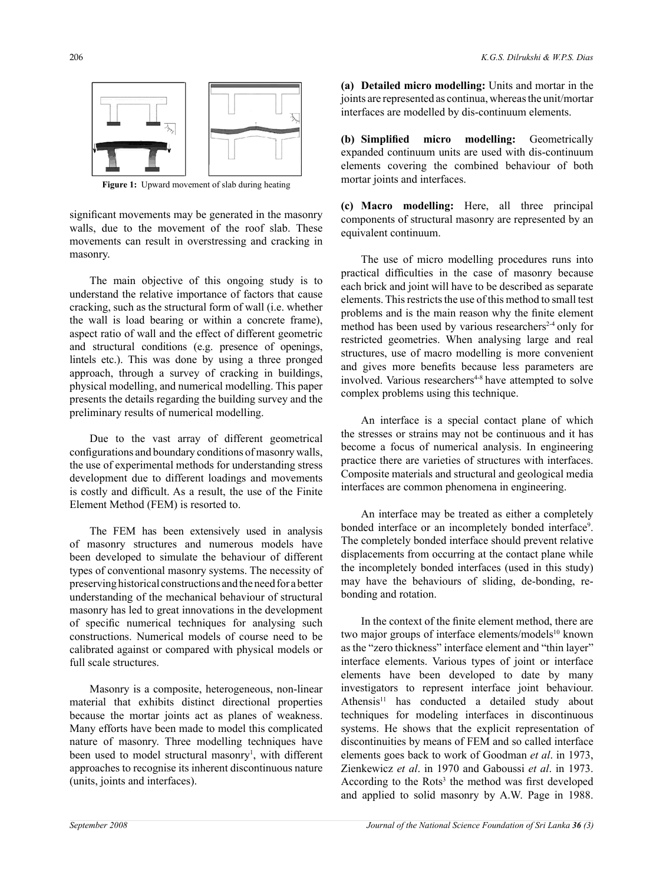

**Figure 1:** Upward movement of slab during heating

significant movements may be generated in the masonry walls, due to the movement of the roof slab. These movements can result in overstressing and cracking in masonry.

The main objective of this ongoing study is to understand the relative importance of factors that cause cracking, such as the structural form of wall (i.e. whether the wall is load bearing or within a concrete frame), aspect ratio of wall and the effect of different geometric and structural conditions (e.g. presence of openings, lintels etc.). This was done by using a three pronged approach, through a survey of cracking in buildings, physical modelling, and numerical modelling. This paper presents the details regarding the building survey and the preliminary results of numerical modelling.

Due to the vast array of different geometrical configurations and boundary conditions of masonry walls, the use of experimental methods for understanding stress development due to different loadings and movements is costly and difficult. As a result, the use of the Finite Element Method (FEM) is resorted to.

The FEM has been extensively used in analysis of masonry structures and numerous models have been developed to simulate the behaviour of different types of conventional masonry systems. The necessity of preserving historical constructions and the need for a better understanding of the mechanical behaviour of structural masonry has led to great innovations in the development of specific numerical techniques for analysing such constructions. Numerical models of course need to be calibrated against or compared with physical models or full scale structures.

Masonry is a composite, heterogeneous, non-linear material that exhibits distinct directional properties because the mortar joints act as planes of weakness. Many efforts have been made to model this complicated nature of masonry. Three modelling techniques have been used to model structural masonry<sup>1</sup>, with different approaches to recognise its inherent discontinuous nature (units, joints and interfaces).

**(a) Detailed micro modelling:** Units and mortar in the joints are represented as continua, whereas the unit/mortar interfaces are modelled by dis-continuum elements.

**(b) Simplified micro modelling:** Geometrically expanded continuum units are used with dis-continuum elements covering the combined behaviour of both mortar joints and interfaces.

**(c) Macro modelling:** Here, all three principal components of structural masonry are represented by an equivalent continuum.

The use of micro modelling procedures runs into practical difficulties in the case of masonry because each brick and joint will have to be described as separate elements. This restricts the use of this method to small test problems and is the main reason why the finite element method has been used by various researchers<sup>2-4</sup> only for restricted geometries. When analysing large and real structures, use of macro modelling is more convenient and gives more benefits because less parameters are involved. Various researchers<sup>4-8</sup> have attempted to solve complex problems using this technique.

An interface is a special contact plane of which the stresses or strains may not be continuous and it has become a focus of numerical analysis. In engineering practice there are varieties of structures with interfaces. Composite materials and structural and geological media interfaces are common phenomena in engineering.

An interface may be treated as either a completely bonded interface or an incompletely bonded interface<sup>9</sup>. The completely bonded interface should prevent relative displacements from occurring at the contact plane while the incompletely bonded interfaces (used in this study) may have the behaviours of sliding, de-bonding, rebonding and rotation.

In the context of the finite element method, there are two major groups of interface elements/models<sup>10</sup> known as the "zero thickness" interface element and "thin layer" interface elements. Various types of joint or interface elements have been developed to date by many investigators to represent interface joint behaviour. Athensis<sup>11</sup> has conducted a detailed study about techniques for modeling interfaces in discontinuous systems. He shows that the explicit representation of discontinuities by means of FEM and so called interface elements goes back to work of Goodman *et al*. in 1973, Zienkewicz *et al*. in 1970 and Gaboussi *et al*. in 1973. According to the Rots<sup>3</sup> the method was first developed and applied to solid masonry by A.W. Page in 1988.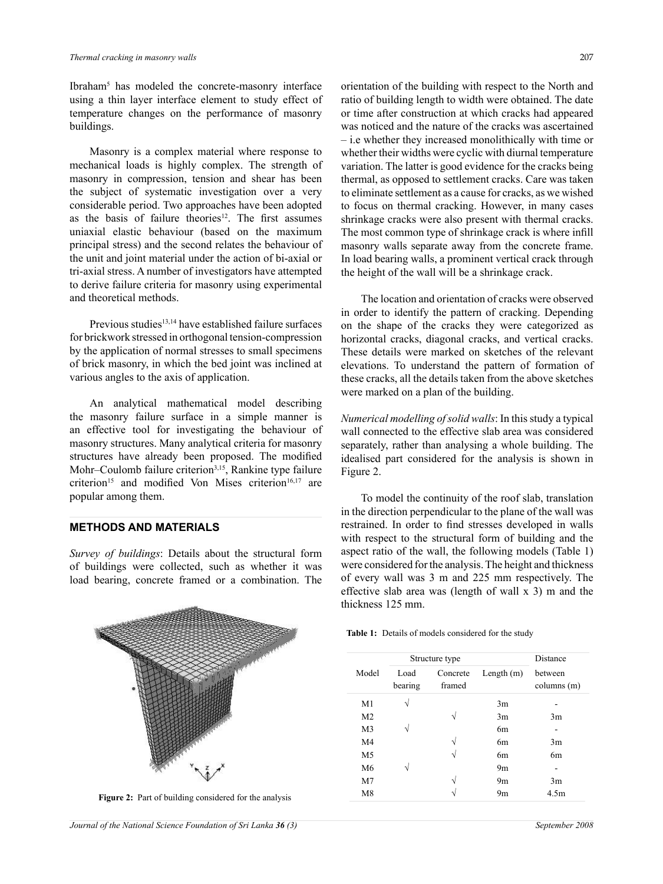Ibraham<sup>5</sup> has modeled the concrete-masonry interface using a thin layer interface element to study effect of temperature changes on the performance of masonry buildings.

Masonry is a complex material where response to mechanical loads is highly complex. The strength of masonry in compression, tension and shear has been the subject of systematic investigation over a very considerable period. Two approaches have been adopted as the basis of failure theories<sup>12</sup>. The first assumes uniaxial elastic behaviour (based on the maximum principal stress) and the second relates the behaviour of the unit and joint material under the action of bi-axial or tri-axial stress. A number of investigators have attempted to derive failure criteria for masonry using experimental and theoretical methods.

Previous studies<sup>13,14</sup> have established failure surfaces for brickwork stressed in orthogonal tension-compression by the application of normal stresses to small specimens of brick masonry, in which the bed joint was inclined at various angles to the axis of application.

An analytical mathematical model describing the masonry failure surface in a simple manner is an effective tool for investigating the behaviour of masonry structures. Many analytical criteria for masonry structures have already been proposed. The modified Mohr–Coulomb failure criterion<sup>3,15</sup>, Rankine type failure criterion<sup>15</sup> and modified Von Mises criterion<sup>16,17</sup> are popular among them.

# **Methods and Materials**

*Survey of buildings*: Details about the structural form of buildings were collected, such as whether it was load bearing, concrete framed or a combination. The



**Figure 2:** Part of building considered for the analysis

orientation of the building with respect to the North and ratio of building length to width were obtained. The date or time after construction at which cracks had appeared was noticed and the nature of the cracks was ascertained – i.e whether they increased monolithically with time or whether their widths were cyclic with diurnal temperature variation. The latter is good evidence for the cracks being thermal, as opposed to settlement cracks. Care was taken to eliminate settlement as a cause for cracks, as we wished to focus on thermal cracking. However, in many cases shrinkage cracks were also present with thermal cracks. The most common type of shrinkage crack is where infill masonry walls separate away from the concrete frame. In load bearing walls, a prominent vertical crack through the height of the wall will be a shrinkage crack.

The location and orientation of cracks were observed in order to identify the pattern of cracking. Depending on the shape of the cracks they were categorized as horizontal cracks, diagonal cracks, and vertical cracks. These details were marked on sketches of the relevant elevations. To understand the pattern of formation of these cracks, all the details taken from the above sketches were marked on a plan of the building.

*Numerical modelling of solid walls*: In this study a typical wall connected to the effective slab area was considered separately, rather than analysing a whole building. The idealised part considered for the analysis is shown in Figure 2.

To model the continuity of the roof slab, translation in the direction perpendicular to the plane of the wall was restrained. In order to find stresses developed in walls with respect to the structural form of building and the aspect ratio of the wall, the following models (Table 1) were considered for the analysis. The height and thickness of every wall was 3 m and 225 mm respectively. The effective slab area was (length of wall x 3) m and the thickness 125 mm.

|  |  |  | Table 1: Details of models considered for the study |  |  |  |
|--|--|--|-----------------------------------------------------|--|--|--|
|--|--|--|-----------------------------------------------------|--|--|--|

|                | Structure type                        | Distance |                |                       |  |
|----------------|---------------------------------------|----------|----------------|-----------------------|--|
| Model          | Load<br>Concrete<br>bearing<br>framed |          | Length $(m)$   | between<br>columns(m) |  |
| M1             |                                       |          | 3m             |                       |  |
| M <sub>2</sub> |                                       |          | 3m             | 3m                    |  |
| M <sub>3</sub> | N                                     |          | 6 <sub>m</sub> |                       |  |
| M <sub>4</sub> |                                       |          | 6m             | 3m                    |  |
| M <sub>5</sub> |                                       |          | 6 <sub>m</sub> | 6m                    |  |
| M <sub>6</sub> | N                                     |          | 9 <sub>m</sub> |                       |  |
| M <sub>7</sub> |                                       |          | 9 <sub>m</sub> | 3m                    |  |
| M8             |                                       |          | 9 <sub>m</sub> | 4.5m                  |  |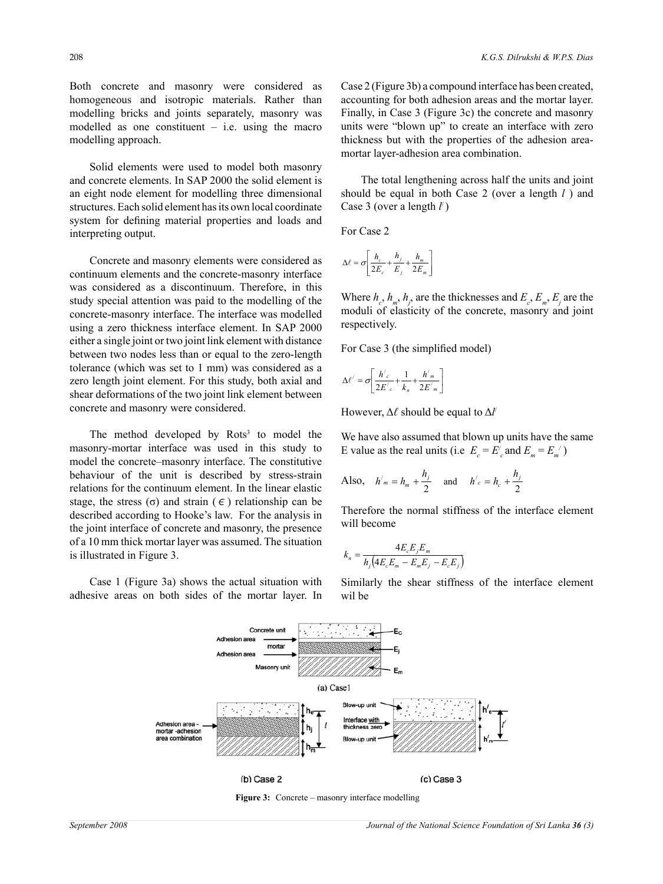Both concrete and masonry were considered as homogeneous and isotropic materials. Rather than modelling bricks and joints separately, masonry was modelled as one constituent  $-$  i.e. using the macro modelling approach.

Solid elements were used to model both masonry and concrete elements. In SAP 2000 the solid element is an eight node element for modelling three dimensional structures. Each solid element has its own local coordinate system for defining material properties and loads and interpreting output.

Concrete and masonry elements were considered as continuum elements and the concrete-masonry interface was considered as a discontinuum. Therefore, in this study special attention was paid to the modelling of the concrete-masonry interface. The interface was modelled using a zero thickness interface element. In SAP 2000 either a single joint or two joint link element with distance between two nodes less than or equal to the zero-length tolerance (which was set to 1 mm) was considered as a zero length joint element. For this study, both axial and shear deformations of the two joint link element between concrete and masonry were considered.

The method developed by Rots<sup>3</sup> to model the masonry-mortar interface was used in this study to model the concrete–masonry interface. The constitutive behaviour of the unit is described by stress-strain relations for the continuum element. In the linear elastic stage, the stress ( $\sigma$ ) and strain ( $\epsilon$ ) relationship can be described according to Hooke's law. For the analysis in the joint interface of concrete and masonry, the presence of a 10 mm thick mortar layer was assumed. The situation is illustrated in Figure 3.

Case 1 (Figure 3a) shows the actual situation with adhesive areas on both sides of the mortar layer. In Case 2 (Figure 3b) a compound interface has been created, accounting for both adhesion areas and the mortar layer. Finally, in Case 3 (Figure 3c) the concrete and masonry units were "blown up" to create an interface with zero thickness but with the properties of the adhesion areamortar layer-adhesion area combination.

The total lengthening across half the units and joint should be equal in both Case 2 (over a length *l* ) and Case 3 (over a length  $l'$ )

For Case 2

$$
\Delta \ell = \sigma \left[ \frac{h_c}{2E_c} + \frac{h_j}{E_j} + \frac{h_m}{2E_m} \right]
$$

Where  $h_c$ ,  $h_m$ ,  $h_j$ , are the thicknesses and  $E_c$ ,  $E_m$ ,  $E_j$  are the moduli of elasticity of the concrete, masonry and joint respectively.

For Case 3 (the simplified model)

$$
\Delta \ell' = \sigma \left[ \frac{h'_{c}}{2E'_{c}} + \frac{1}{k_{n}} + \frac{h'_{m}}{2E'_{m}} \right]
$$

However, Δ*ℓ* should be equal to Δ*l* /

We have also assumed that blown up units have the same E value as the real units (i.e  $E_c = E_c'$  and  $E_m = E_m'$ )

Also, 
$$
h'_m = h_m + \frac{h_j}{2}
$$
 and  $h'_c = h_c + \frac{h_j}{2}$ 

Therefore the normal stiffness of the interface element will become

$$
k_n = \frac{4E_cE_jE_m}{h_j\left(4E_cE_m - E_mE_j - E_cE_j\right)}
$$

Similarly the shear stiffness of the interface element wil be



**Figure 3:** Concrete – masonry interface modelling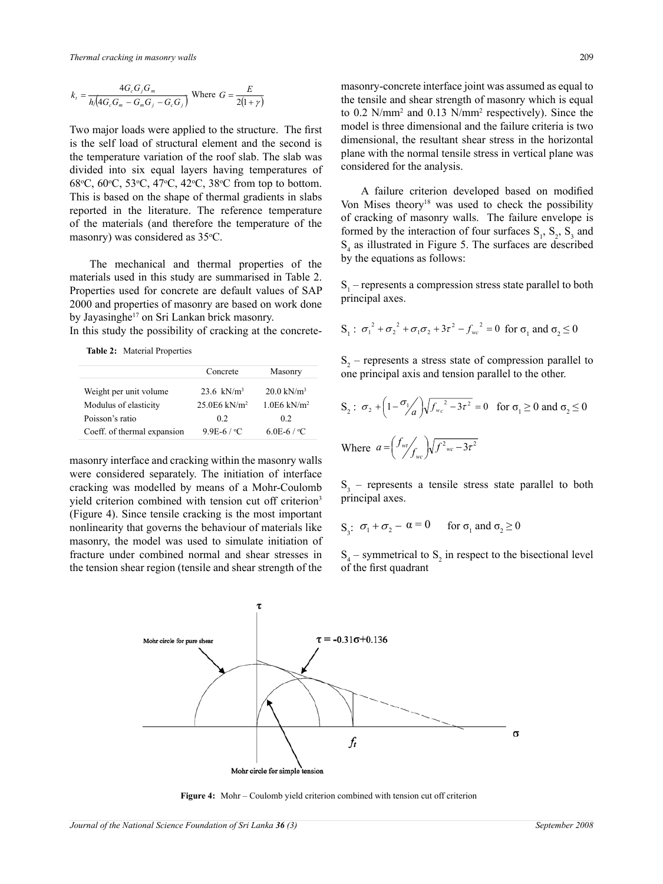$$
k_{t} = \frac{4G_{c}G_{j}G_{m}}{h_{i}(4G_{c}G_{m} - G_{m}G_{j} - G_{c}G_{j})}
$$
 Where  $G = \frac{E}{2(1+\gamma)}$ 

Two major loads were applied to the structure. The first is the self load of structural element and the second is the temperature variation of the roof slab. The slab was divided into six equal layers having temperatures of  $68^{\circ}$ C,  $60^{\circ}$ C,  $53^{\circ}$ C,  $47^{\circ}$ C,  $42^{\circ}$ C,  $38^{\circ}$ C from top to bottom. This is based on the shape of thermal gradients in slabs reported in the literature. The reference temperature of the materials (and therefore the temperature of the masonry) was considered as 35°C.

The mechanical and thermal properties of the materials used in this study are summarised in Table 2. Properties used for concrete are default values of SAP 2000 and properties of masonry are based on work done by Jayasinghe<sup>17</sup> on Sri Lankan brick masonry.

In this study the possibility of cracking at the concrete-

 **Table 2:** Material Properties

|                             | Concrete                   | Masonry                   |  |  |
|-----------------------------|----------------------------|---------------------------|--|--|
| Weight per unit volume      | $23.6 \text{ kN/m}^3$      | $20.0 \text{ kN/m}^3$     |  |  |
| Modulus of elasticity       | $25.0E6$ kN/m <sup>2</sup> | $1.0E6$ kN/m <sup>2</sup> |  |  |
| Poisson's ratio             | 02                         | 02                        |  |  |
| Coeff. of thermal expansion | 9.9E-6/ $\degree$ C        | 6.0E-6/°C                 |  |  |

masonry interface and cracking within the masonry walls were considered separately. The initiation of interface cracking was modelled by means of a Mohr-Coulomb yield criterion combined with tension cut off criterion<sup>3</sup> (Figure 4). Since tensile cracking is the most important nonlinearity that governs the behaviour of materials like masonry, the model was used to simulate initiation of fracture under combined normal and shear stresses in the tension shear region (tensile and shear strength of the

masonry-concrete interface joint was assumed as equal to<br>the tensile and shear strength of masonry which is equal the tensile and shear strength of masonry which is equal to 0.2 N/mm<sup>2</sup> and 0.13 N/mm<sup>2</sup> respectively). Since the model is three dimensional and the failure criteria is two dimensional, the resultant shear stress in the horizontal plane with the normal tensile stress in vertical plane was considered for the analysis.

> A failure criterion developed based on modified Von Mises theory18 was used to check the possibility of cracking of masonry walls. The failure envelope is formed by the interaction of four surfaces  $S_1$ ,  $S_2$ ,  $S_3$  and  $S_4$  as illustrated in Figure 5. The surfaces are described by the equations as follows:

 $S_1$  – represents a compression stress state parallel to both principal axes. principal axes.

$$
S_1
$$
:  $\sigma_1^2 + \sigma_2^2 + \sigma_1 \sigma_2 + 3\tau^2 - f_{wc}^2 = 0$  for  $\sigma_1$  and  $\sigma_2 \le 0$ 

 $S_2$  – represents a stress state of compression parallel to  $S_2$ . one principal axis and tension parallel to the other.

$$
S_2: \sigma_2 + \left(1 - \frac{\sigma_1}{a}\right) \sqrt{f_{wc}^2 - 3\tau^2} = 0 \text{ for } \sigma_1 \ge 0 \text{ and } \sigma_2 \le 0
$$
  
Where 
$$
a = \left(\frac{f_{wc}}{f_{wc}}\right) \sqrt{f_{wc}^2 - 3\tau^2}
$$

 $\sum_{i=1}^{\infty}$  and axes.  $S_3$  – represents a tensile stress state parallel to both principal axes.

$$
S_3: \ \sigma_1 + \sigma_2 - \alpha = 0 \quad \text{for } \sigma_1 \text{ and } \sigma_2 \ge 0
$$

 $S_4$  – symmetrical to  $S_2$  in respect to the bisectional level of the first quadrant



**Figure 4:** Mohr – Coulomb yield criterion combined with tension cut off criterion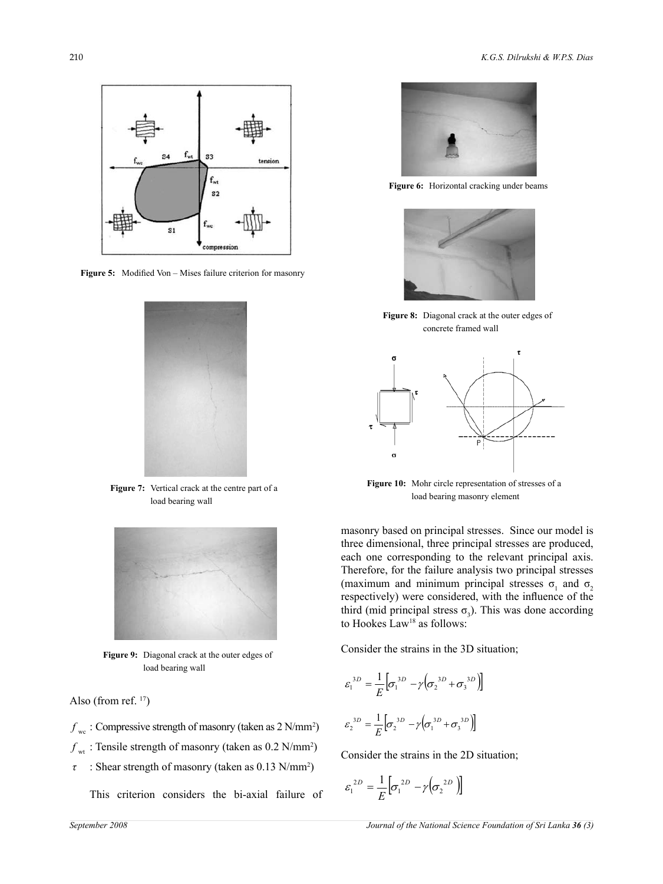

**Figure 5:** Modified Von – Mises failure criterion for masonry



**Figure 7:** Vertical crack at the centre part of a load bearing wall



**Figure 9:** Diagonal crack at the outer edges of load bearing wall

Also (from ref.  $17$ )

 $f_{\text{wc}}$ : Compressive strength of masonry (taken as  $2 \text{ N/mm}^2$ )

 $f_{\text{wt}}$  : Tensile strength of masonry (taken as 0.2 N/mm<sup>2</sup>)

 *τ* : Shear strength of masonry (taken as 0.13 N/mm2 )

This criterion considers the bi-axial failure of



**Figure 6:** Horizontal cracking under beams



Figure 8: Diagonal crack at the outer edges of concrete framed wall



Figure 10: Mohr circle representation of stresses of a load bearing masonry element

masonry based on principal stresses. Since our model is three dimensional, three principal stresses are produced, each one corresponding to the relevant principal axis. Therefore, for the failure analysis two principal stresses (maximum and minimum principal stresses  $\sigma_1$  and  $\sigma_2$ respectively) were considered, with the influence of the third (mid principal stress  $\sigma_3$ ). This was done according to Hookes Law<sup>18</sup> as follows:

Consider the strains in the 3D situation;

$$
\varepsilon_1^{3D} = \frac{1}{E} \Big[ \sigma_1^{3D} - \gamma \Big( \sigma_2^{3D} + \sigma_3^{3D} \Big) \Big]
$$

$$
\varepsilon_2^{3D} = \frac{1}{E} \Big[ \sigma_2^{3D} - \gamma \Big( \sigma_1^{3D} + \sigma_3^{3D} \Big) \Big]
$$

Consider the strains in the 2D situation;

$$
\varepsilon_1^{2D} = \frac{1}{E} \Big[ \sigma_1^{2D} - \gamma \Big( \sigma_2^{2D} \Big) \Big]
$$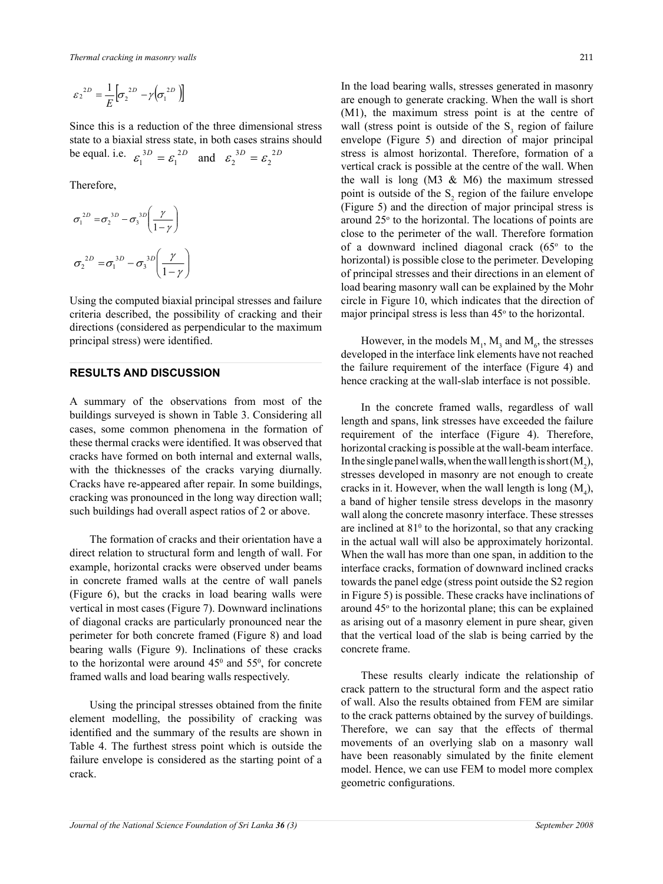$$
{\varepsilon_2}^{2D} = \frac{1}{E} \Big[ {\sigma_2}^{2D} - \gamma \Big( {\sigma_1}^{2D} \Big) \Big]
$$

Since this is a reduction of the three dimensional stress state to a biaxial stress state, in both cases strains should be equal. i.e.  $\varepsilon_1^{3D} = \varepsilon_1^{2D}$  $\varepsilon_1^{3D} = \varepsilon_1^{2D}$  and  $\varepsilon_2^{3D} = \varepsilon_2^{2D}$  $\varepsilon_2^{3D} = \varepsilon$ 

Therefore,

$$
\sigma_1^{2D} = \sigma_2^{3D} - \sigma_3^{3D} \left( \frac{\gamma}{1 - \gamma} \right)
$$

$$
\sigma_2^{2D} = \sigma_1^{3D} - \sigma_3^{3D} \left( \frac{\gamma}{1 - \gamma} \right)
$$

Using the computed biaxial principal stresses and failure criteria described, the possibility of cracking and their directions (considered as perpendicular to the maximum principal stress) were identified.

## **RESULTS AND DISCUSSION**

A summary of the observations from most of the buildings surveyed is shown in Table 3. Considering all cases, some common phenomena in the formation of these thermal cracks were identified. It was observed that cracks have formed on both internal and external walls, with the thicknesses of the cracks varying diurnally. Cracks have re-appeared after repair. In some buildings, cracking was pronounced in the long way direction wall; such buildings had overall aspect ratios of 2 or above.

The formation of cracks and their orientation have a direct relation to structural form and length of wall. For example, horizontal cracks were observed under beams in concrete framed walls at the centre of wall panels (Figure 6), but the cracks in load bearing walls were vertical in most cases (Figure 7). Downward inclinations of diagonal cracks are particularly pronounced near the perimeter for both concrete framed (Figure 8) and load bearing walls (Figure 9). Inclinations of these cracks to the horizontal were around  $45^{\circ}$  and  $55^{\circ}$ , for concrete framed walls and load bearing walls respectively.

Using the principal stresses obtained from the finite element modelling, the possibility of cracking was identified and the summary of the results are shown in Table 4. The furthest stress point which is outside the failure envelope is considered as the starting point of a crack.

In the load bearing walls, stresses generated in masonry are enough to generate cracking. When the wall is short (M1), the maximum stress point is at the centre of wall (stress point is outside of the  $S_3$  region of failure envelope (Figure 5) and direction of major principal stress is almost horizontal. Therefore, formation of a vertical crack is possible at the centre of the wall. When the wall is long  $(M3 \& M6)$  the maximum stressed point is outside of the  $S_2$  region of the failure envelope (Figure 5) and the direction of major principal stress is around  $25^\circ$  to the horizontal. The locations of points are close to the perimeter of the wall. Therefore formation of a downward inclined diagonal crack  $(65<sup>o</sup>$  to the horizontal) is possible close to the perimeter. Developing of principal stresses and their directions in an element of load bearing masonry wall can be explained by the Mohr circle in Figure 10, which indicates that the direction of major principal stress is less than  $45^\circ$  to the horizontal.

However, in the models  $M_1$ ,  $M_3$  and  $M_6$ , the stresses developed in the interface link elements have not reached the failure requirement of the interface (Figure 4) and hence cracking at the wall-slab interface is not possible.

In the concrete framed walls, regardless of wall length and spans, link stresses have exceeded the failure requirement of the interface (Figure 4). Therefore, horizontal cracking is possible at the wall-beam interface. In the single panel walls, when the wall length is short  $(M_2)$ , stresses developed in masonry are not enough to create cracks in it. However, when the wall length is long  $(M_4)$ , a band of higher tensile stress develops in the masonry wall along the concrete masonry interface. These stresses are inclined at  $81<sup>0</sup>$  to the horizontal, so that any cracking in the actual wall will also be approximately horizontal. When the wall has more than one span, in addition to the interface cracks, formation of downward inclined cracks towards the panel edge (stress point outside the S2 region in Figure 5) is possible. These cracks have inclinations of around  $45^\circ$  to the horizontal plane; this can be explained as arising out of a masonry element in pure shear, given that the vertical load of the slab is being carried by the concrete frame.

These results clearly indicate the relationship of crack pattern to the structural form and the aspect ratio of wall. Also the results obtained from FEM are similar to the crack patterns obtained by the survey of buildings. Therefore, we can say that the effects of thermal movements of an overlying slab on a masonry wall have been reasonably simulated by the finite element model. Hence, we can use FEM to model more complex geometric configurations.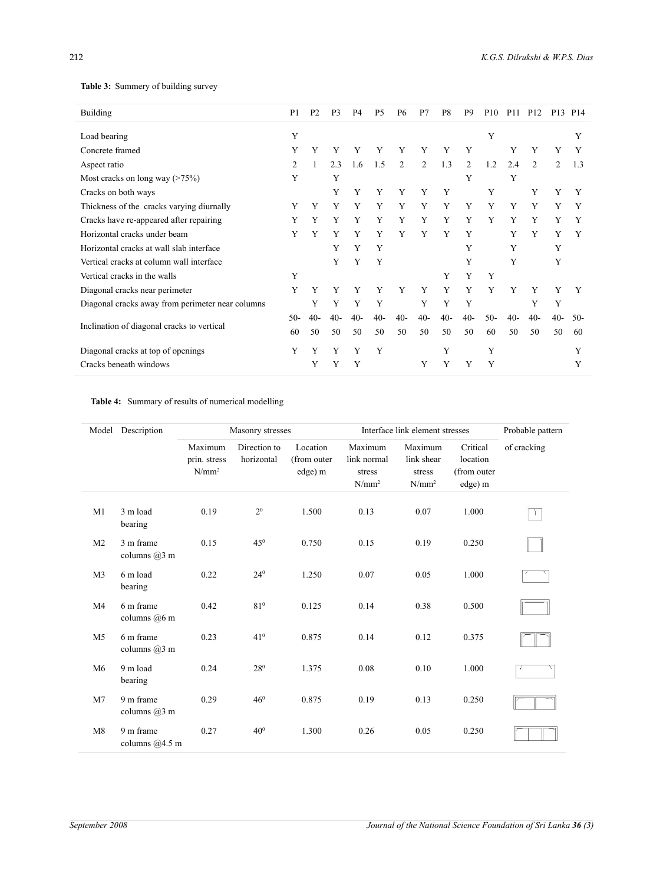# Table 3: Summery of building survey

| P <sub>1</sub> | P <sub>2</sub> | P <sub>3</sub> | P <sub>4</sub> | P <sub>5</sub> | P6             | P7             | P <sub>8</sub> | P <sub>9</sub> | P <sub>10</sub> | P <sub>11</sub> | P <sub>12</sub> |       | P <sub>14</sub>      |
|----------------|----------------|----------------|----------------|----------------|----------------|----------------|----------------|----------------|-----------------|-----------------|-----------------|-------|----------------------|
|                |                |                |                |                |                |                |                |                |                 |                 |                 |       | Y                    |
|                |                |                |                |                |                |                |                |                |                 |                 |                 |       |                      |
|                |                |                |                |                |                |                |                |                |                 |                 |                 |       | Y                    |
| 2              |                | 2.3            | 1.6            | 1.5            | $\overline{2}$ | $\overline{2}$ | 1.3            | $\overline{c}$ | 1.2             | 2.4             | 2               | 2     | 1.3                  |
| Y              |                | Y              |                |                |                |                |                | Y              |                 | Y               |                 |       |                      |
|                |                | Y              | Y              | Y              | Y              | Y              | Y              |                | Y               |                 | Y               | Y     | Y                    |
| Y              | Y              | Y              | Y              | Y              | Y              | Y              | Y              | Y              | Y               | Y               | Y               | Y     | Y                    |
| Y              | Y              | Y              | Y              | Y              | Y              | Y              | Y              | Y              | Y               | Y               | Y               | Y     | Y                    |
| Y              | Y              | Y              | Y              | Y              | Y              | Y              | Y              | Y              |                 | Y               | Y               | Y     | Y                    |
|                |                | Y              | Y              | Y              |                |                |                | Y              |                 | Y               |                 | Y     |                      |
|                |                | Y              | Y              | Y              |                |                |                | Y              |                 | Y               |                 | Y     |                      |
| Y              |                |                |                |                |                |                | Y              | Y              | Y               |                 |                 |       |                      |
| Y              | Y              | Y              | Y              | Y              | Y              | Y              | Y              | Y              | Y               | Y               | Y               | Y     | Y                    |
|                | Y              | Y              | Y              | Y              |                | Y              | Y              | Y              |                 |                 | Y               | Y     |                      |
| $50-$          | $40-$          | $40-$          | $40-$          | $40-$          | $40-$          | $40-$          | $40-$          | $40-$          | $50-$           | $40-$           | $40-$           | $40-$ | $50-$                |
| 60             | 50             | 50             | 50             | 50             | 50             | 50             | 50             | 50             | 60              | 50              | 50              | 50    | 60                   |
| Y              | Y              | Y              | Y              | Y              |                |                | Y              |                | Y               |                 |                 |       | Y                    |
|                | Y              | Y              | Y              |                |                | Y              | Y              | Y              | Y               |                 |                 |       |                      |
|                | Y<br>Y         | Y              | Y              | Y              | Y              | Y              | Y              | Y              | Y               | Y               | Y               | Y     | P <sub>13</sub><br>Y |

Table 4: Summary of results of numerical modelling

|                | Model Description             |                                     | Masonry stresses           |                                     | Interface link element stresses              | Probable pattern                            |                                                 |             |
|----------------|-------------------------------|-------------------------------------|----------------------------|-------------------------------------|----------------------------------------------|---------------------------------------------|-------------------------------------------------|-------------|
|                |                               | Maximum<br>prin. stress<br>$N/mm^2$ | Direction to<br>horizontal | Location<br>(from outer)<br>edge) m | Maximum<br>link normal<br>stress<br>$N/mm^2$ | Maximum<br>link shear<br>stress<br>$N/mm^2$ | Critical<br>location<br>(from outer)<br>edge) m | of cracking |
| M1             | 3 m load<br>bearing           | 0.19                                | 2 <sup>0</sup>             | 1.500                               | 0.13                                         | 0.07                                        | 1.000                                           |             |
| M <sub>2</sub> | 3 m frame<br>columns $(a)3$ m | 0.15                                | $45^{\circ}$               | 0.750                               | 0.15                                         | 0.19                                        | 0.250                                           |             |
| M <sub>3</sub> | 6 m load<br>bearing           | 0.22                                | $24^{0}$                   | 1.250                               | 0.07                                         | 0.05                                        | 1.000                                           |             |
| M <sub>4</sub> | 6 m frame<br>columns @6 m     | 0.42                                | 81 <sup>0</sup>            | 0.125                               | 0.14                                         | 0.38                                        | 0.500                                           |             |
| M <sub>5</sub> | 6 m frame<br>columns $(a)3$ m | 0.23                                | $41^{0}$                   | 0.875                               | 0.14                                         | 0.12                                        | 0.375                                           |             |
| M6             | 9 m load<br>bearing           | 0.24                                | $28^{\circ}$               | 1.375                               | 0.08                                         | 0.10                                        | 1.000                                           |             |
| M <sub>7</sub> | 9 m frame<br>columns $(a)3$ m | 0.29                                | 46 <sup>0</sup>            | 0.875                               | 0.19                                         | 0.13                                        | 0.250                                           |             |
| M8             | 9 m frame<br>columns @4.5 m   | 0.27                                | 40 <sup>0</sup>            | 1.300                               | 0.26                                         | 0.05                                        | 0.250                                           |             |